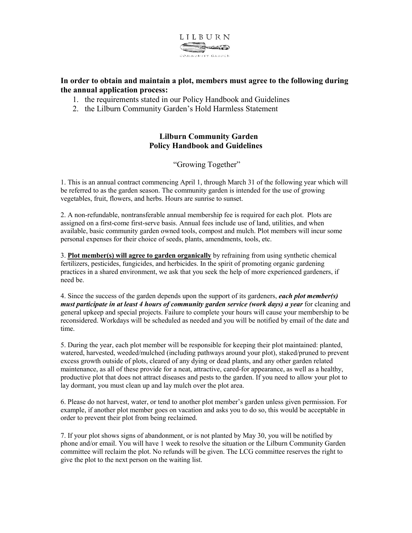

## **In order to obtain and maintain a plot, members must agree to the following during the annual application process:**

- 1. the requirements stated in our Policy Handbook and Guidelines
- 2. the Lilburn Community Garden's Hold Harmless Statement

## **Lilburn Community Garden Policy Handbook and Guidelines**

"Growing Together"

1. This is an annual contract commencing April 1, through March 31 of the following year which will be referred to as the garden season. The community garden is intended for the use of growing vegetables, fruit, flowers, and herbs. Hours are sunrise to sunset.

2. A non-refundable, nontransferable annual membership fee is required for each plot. Plots are assigned on a first-come first-serve basis. Annual fees include use of land, utilities, and when available, basic community garden owned tools, compost and mulch. Plot members will incur some personal expenses for their choice of seeds, plants, amendments, tools, etc.

3. **Plot member(s) will agree to garden organically** by refraining from using synthetic chemical fertilizers, pesticides, fungicides, and herbicides. In the spirit of promoting organic gardening practices in a shared environment, we ask that you seek the help of more experienced gardeners, if need be.

4. Since the success of the garden depends upon the support of its gardeners, *each plot member(s) must participate in at least 4 hours of community garden service (work days) a year* for cleaning and general upkeep and special projects. Failure to complete your hours will cause your membership to be reconsidered. Workdays will be scheduled as needed and you will be notified by email of the date and time.

5. During the year, each plot member will be responsible for keeping their plot maintained: planted, watered, harvested, weeded/mulched (including pathways around your plot), staked/pruned to prevent excess growth outside of plots, cleared of any dying or dead plants, and any other garden related maintenance, as all of these provide for a neat, attractive, cared-for appearance, as well as a healthy, productive plot that does not attract diseases and pests to the garden. If you need to allow your plot to lay dormant, you must clean up and lay mulch over the plot area.

6. Please do not harvest, water, or tend to another plot member's garden unless given permission. For example, if another plot member goes on vacation and asks you to do so, this would be acceptable in order to prevent their plot from being reclaimed.

7. If your plot shows signs of abandonment, or is not planted by May 30, you will be notified by phone and/or email. You will have 1 week to resolve the situation or the Lilburn Community Garden committee will reclaim the plot. No refunds will be given. The LCG committee reserves the right to give the plot to the next person on the waiting list.